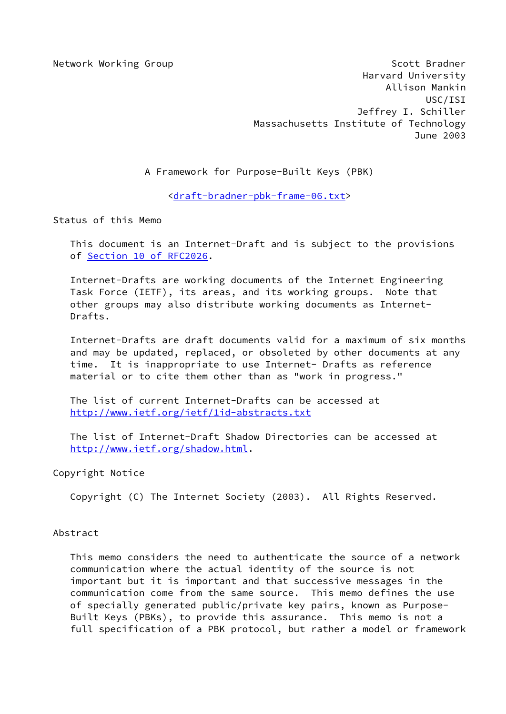Network Working Group Scott Bradner Harvard University Allison Mankin USC/ISI Jeffrey I. Schiller Massachusetts Institute of Technology June 2003

A Framework for Purpose-Built Keys (PBK)

[<draft-bradner-pbk-frame-06.txt](https://datatracker.ietf.org/doc/pdf/draft-bradner-pbk-frame-06.txt)>

Status of this Memo

 This document is an Internet-Draft and is subject to the provisions of Section [10 of RFC2026.](https://datatracker.ietf.org/doc/pdf/rfc2026#section-10)

 Internet-Drafts are working documents of the Internet Engineering Task Force (IETF), its areas, and its working groups. Note that other groups may also distribute working documents as Internet- Drafts.

 Internet-Drafts are draft documents valid for a maximum of six months and may be updated, replaced, or obsoleted by other documents at any time. It is inappropriate to use Internet- Drafts as reference material or to cite them other than as "work in progress."

 The list of current Internet-Drafts can be accessed at <http://www.ietf.org/ietf/1id-abstracts.txt>

 The list of Internet-Draft Shadow Directories can be accessed at <http://www.ietf.org/shadow.html>.

## Copyright Notice

Copyright (C) The Internet Society (2003). All Rights Reserved.

## Abstract

 This memo considers the need to authenticate the source of a network communication where the actual identity of the source is not important but it is important and that successive messages in the communication come from the same source. This memo defines the use of specially generated public/private key pairs, known as Purpose- Built Keys (PBKs), to provide this assurance. This memo is not a full specification of a PBK protocol, but rather a model or framework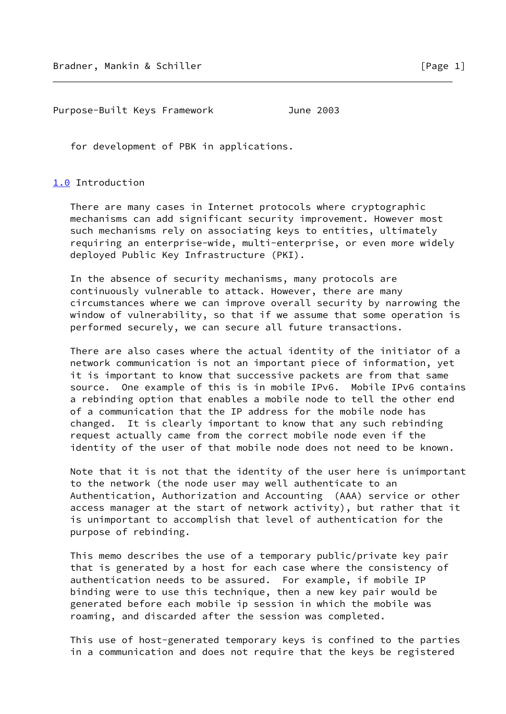Purpose-Built Keys Framework June 2003

for development of PBK in applications.

## <span id="page-1-0"></span>[1.0](#page-1-0) Introduction

 There are many cases in Internet protocols where cryptographic mechanisms can add significant security improvement. However most such mechanisms rely on associating keys to entities, ultimately requiring an enterprise-wide, multi-enterprise, or even more widely deployed Public Key Infrastructure (PKI).

 In the absence of security mechanisms, many protocols are continuously vulnerable to attack. However, there are many circumstances where we can improve overall security by narrowing the window of vulnerability, so that if we assume that some operation is performed securely, we can secure all future transactions.

 There are also cases where the actual identity of the initiator of a network communication is not an important piece of information, yet it is important to know that successive packets are from that same source. One example of this is in mobile IPv6. Mobile IPv6 contains a rebinding option that enables a mobile node to tell the other end of a communication that the IP address for the mobile node has changed. It is clearly important to know that any such rebinding request actually came from the correct mobile node even if the identity of the user of that mobile node does not need to be known.

 Note that it is not that the identity of the user here is unimportant to the network (the node user may well authenticate to an Authentication, Authorization and Accounting (AAA) service or other access manager at the start of network activity), but rather that it is unimportant to accomplish that level of authentication for the purpose of rebinding.

 This memo describes the use of a temporary public/private key pair that is generated by a host for each case where the consistency of authentication needs to be assured. For example, if mobile IP binding were to use this technique, then a new key pair would be generated before each mobile ip session in which the mobile was roaming, and discarded after the session was completed.

 This use of host-generated temporary keys is confined to the parties in a communication and does not require that the keys be registered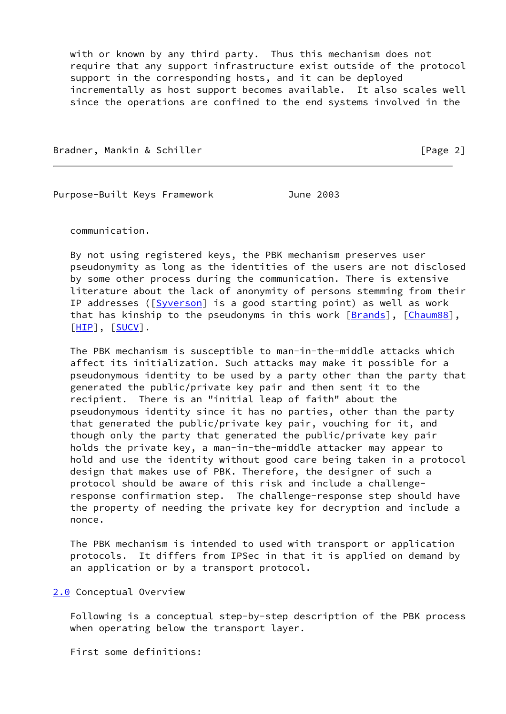with or known by any third party. Thus this mechanism does not require that any support infrastructure exist outside of the protocol support in the corresponding hosts, and it can be deployed incrementally as host support becomes available. It also scales well since the operations are confined to the end systems involved in the

Bradner, Mankin & Schiller [Page 2]

Purpose-Built Keys Framework **June 2003** 

communication.

 By not using registered keys, the PBK mechanism preserves user pseudonymity as long as the identities of the users are not disclosed by some other process during the communication. There is extensive literature about the lack of anonymity of persons stemming from their IP addresses ([[Syverson\]](#page-6-0) is a good starting point) as well as work that has kinship to the pseudonyms in this work  $[Brands]$  $[Brands]$ ,  $[Chaum88]$  $[Chaum88]$  $[Chaum88]$ , [\[HIP](#page-6-3)], [\[SUCV](#page-6-4)].

 The PBK mechanism is susceptible to man-in-the-middle attacks which affect its initialization. Such attacks may make it possible for a pseudonymous identity to be used by a party other than the party that generated the public/private key pair and then sent it to the recipient. There is an "initial leap of faith" about the pseudonymous identity since it has no parties, other than the party that generated the public/private key pair, vouching for it, and though only the party that generated the public/private key pair holds the private key, a man-in-the-middle attacker may appear to hold and use the identity without good care being taken in a protocol design that makes use of PBK. Therefore, the designer of such a protocol should be aware of this risk and include a challenge response confirmation step. The challenge-response step should have the property of needing the private key for decryption and include a nonce.

 The PBK mechanism is intended to used with transport or application protocols. It differs from IPSec in that it is applied on demand by an application or by a transport protocol.

## <span id="page-2-0"></span>[2.0](#page-2-0) Conceptual Overview

 Following is a conceptual step-by-step description of the PBK process when operating below the transport layer.

First some definitions: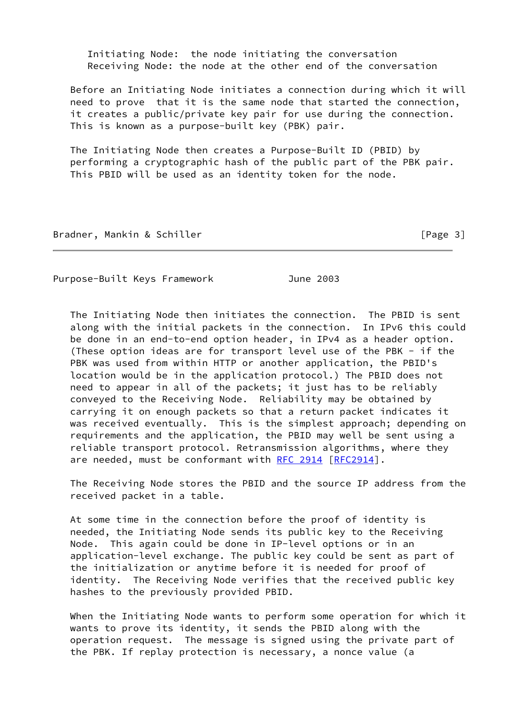Initiating Node: the node initiating the conversation Receiving Node: the node at the other end of the conversation

 Before an Initiating Node initiates a connection during which it will need to prove that it is the same node that started the connection, it creates a public/private key pair for use during the connection. This is known as a purpose-built key (PBK) pair.

 The Initiating Node then creates a Purpose-Built ID (PBID) by performing a cryptographic hash of the public part of the PBK pair. This PBID will be used as an identity token for the node.

Bradner, Mankin & Schiller (1999) [Page 3]

Purpose-Built Keys Framework June 2003

 The Initiating Node then initiates the connection. The PBID is sent along with the initial packets in the connection. In IPv6 this could be done in an end-to-end option header, in IPv4 as a header option. (These option ideas are for transport level use of the PBK - if the PBK was used from within HTTP or another application, the PBID's location would be in the application protocol.) The PBID does not need to appear in all of the packets; it just has to be reliably conveyed to the Receiving Node. Reliability may be obtained by carrying it on enough packets so that a return packet indicates it was received eventually. This is the simplest approach; depending on requirements and the application, the PBID may well be sent using a reliable transport protocol. Retransmission algorithms, where they are needed, must be conformant with [RFC 2914 \[RFC2914](https://datatracker.ietf.org/doc/pdf/rfc2914)].

 The Receiving Node stores the PBID and the source IP address from the received packet in a table.

 At some time in the connection before the proof of identity is needed, the Initiating Node sends its public key to the Receiving Node. This again could be done in IP-level options or in an application-level exchange. The public key could be sent as part of the initialization or anytime before it is needed for proof of identity. The Receiving Node verifies that the received public key hashes to the previously provided PBID.

 When the Initiating Node wants to perform some operation for which it wants to prove its identity, it sends the PBID along with the operation request. The message is signed using the private part of the PBK. If replay protection is necessary, a nonce value (a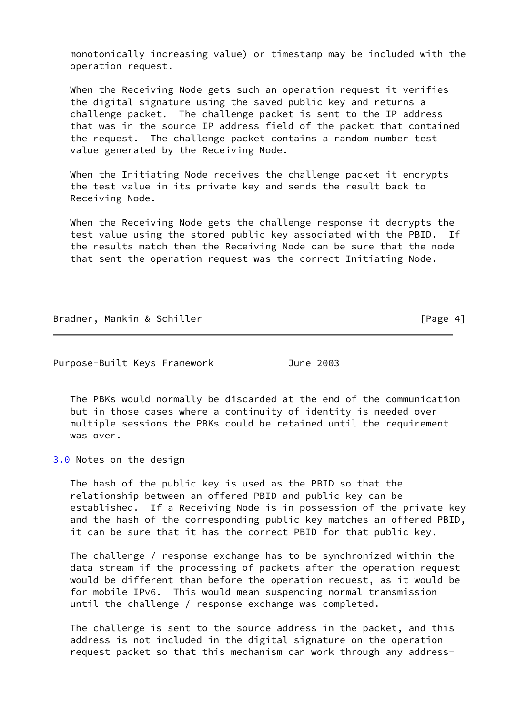monotonically increasing value) or timestamp may be included with the operation request.

 When the Receiving Node gets such an operation request it verifies the digital signature using the saved public key and returns a challenge packet. The challenge packet is sent to the IP address that was in the source IP address field of the packet that contained the request. The challenge packet contains a random number test value generated by the Receiving Node.

 When the Initiating Node receives the challenge packet it encrypts the test value in its private key and sends the result back to Receiving Node.

 When the Receiving Node gets the challenge response it decrypts the test value using the stored public key associated with the PBID. If the results match then the Receiving Node can be sure that the node that sent the operation request was the correct Initiating Node.

Bradner, Mankin & Schiller [Page 4]

Purpose-Built Keys Framework **June 2003** 

 The PBKs would normally be discarded at the end of the communication but in those cases where a continuity of identity is needed over multiple sessions the PBKs could be retained until the requirement was over.

<span id="page-4-0"></span>[3.0](#page-4-0) Notes on the design

 The hash of the public key is used as the PBID so that the relationship between an offered PBID and public key can be established. If a Receiving Node is in possession of the private key and the hash of the corresponding public key matches an offered PBID, it can be sure that it has the correct PBID for that public key.

 The challenge / response exchange has to be synchronized within the data stream if the processing of packets after the operation request would be different than before the operation request, as it would be for mobile IPv6. This would mean suspending normal transmission until the challenge / response exchange was completed.

 The challenge is sent to the source address in the packet, and this address is not included in the digital signature on the operation request packet so that this mechanism can work through any address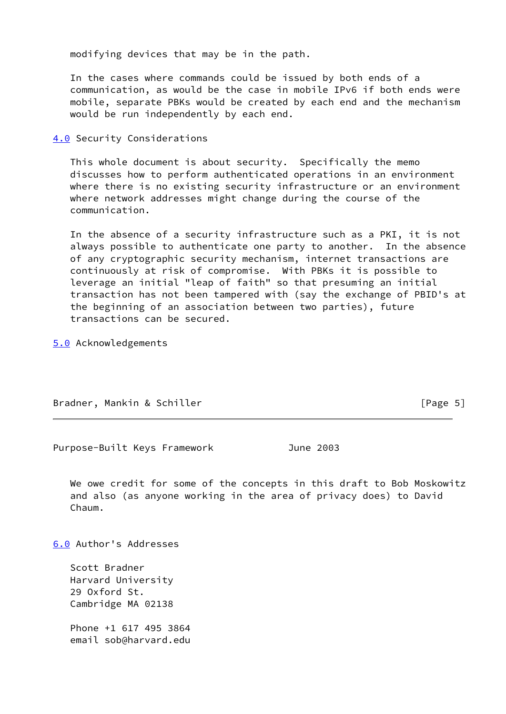modifying devices that may be in the path.

 In the cases where commands could be issued by both ends of a communication, as would be the case in mobile IPv6 if both ends were mobile, separate PBKs would be created by each end and the mechanism would be run independently by each end.

<span id="page-5-0"></span>[4.0](#page-5-0) Security Considerations

 This whole document is about security. Specifically the memo discusses how to perform authenticated operations in an environment where there is no existing security infrastructure or an environment where network addresses might change during the course of the communication.

 In the absence of a security infrastructure such as a PKI, it is not always possible to authenticate one party to another. In the absence of any cryptographic security mechanism, internet transactions are continuously at risk of compromise. With PBKs it is possible to leverage an initial "leap of faith" so that presuming an initial transaction has not been tampered with (say the exchange of PBID's at the beginning of an association between two parties), future transactions can be secured.

<span id="page-5-1"></span>[5.0](#page-5-1) Acknowledgements

Bradner, Mankin & Schiller **Example 2018** [Page 5]

Purpose-Built Keys Framework **June 2003** 

 We owe credit for some of the concepts in this draft to Bob Moskowitz and also (as anyone working in the area of privacy does) to David Chaum.

<span id="page-5-2"></span>[6.0](#page-5-2) Author's Addresses

 Scott Bradner Harvard University 29 Oxford St. Cambridge MA 02138

 Phone +1 617 495 3864 email sob@harvard.edu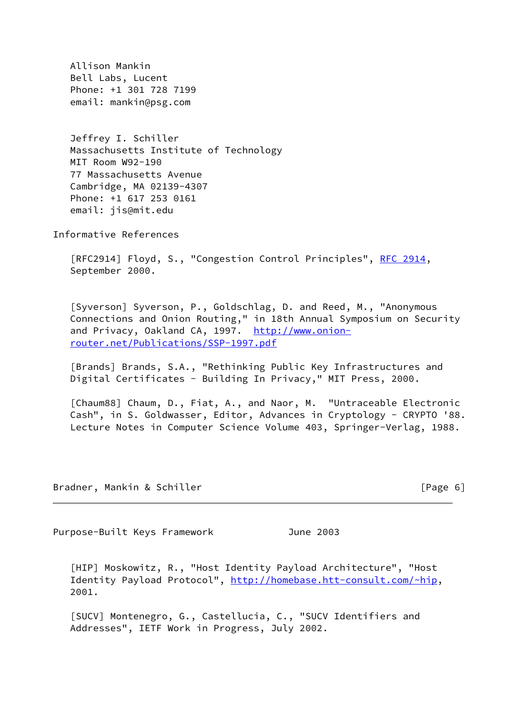Allison Mankin Bell Labs, Lucent Phone: +1 301 728 7199 email: mankin@psg.com

 Jeffrey I. Schiller Massachusetts Institute of Technology MIT Room W92-190 77 Massachusetts Avenue Cambridge, MA 02139-4307 Phone: +1 617 253 0161 email: jis@mit.edu

Informative References

 [RFC2914] Floyd, S., "Congestion Control Principles", [RFC 2914](https://datatracker.ietf.org/doc/pdf/rfc2914), September 2000.

<span id="page-6-0"></span> [Syverson] Syverson, P., Goldschlag, D. and Reed, M., "Anonymous Connections and Onion Routing," in 18th Annual Symposium on Security and Privacy, Oakland CA, 1997. [http://www.onion](http://www.onion-router.net/Publications/SSP-1997.pdf) [router.net/Publications/SSP-1997.pdf](http://www.onion-router.net/Publications/SSP-1997.pdf)

<span id="page-6-1"></span> [Brands] Brands, S.A., "Rethinking Public Key Infrastructures and Digital Certificates - Building In Privacy," MIT Press, 2000.

<span id="page-6-2"></span>[Chaum88] Chaum, D., Fiat, A., and Naor, M. "Untraceable Electronic Cash", in S. Goldwasser, Editor, Advances in Cryptology - CRYPTO '88. Lecture Notes in Computer Science Volume 403, Springer-Verlag, 1988.

Bradner, Mankin & Schiller [Page 6]

Purpose-Built Keys Framework **June 2003** 

<span id="page-6-3"></span> [HIP] Moskowitz, R., "Host Identity Payload Architecture", "Host Identity Payload Protocol", [http://homebase.htt-consult.com/~hip,](http://homebase.htt-consult.com/~hip) 2001.

<span id="page-6-4"></span> [SUCV] Montenegro, G., Castellucia, C., "SUCV Identifiers and Addresses", IETF Work in Progress, July 2002.